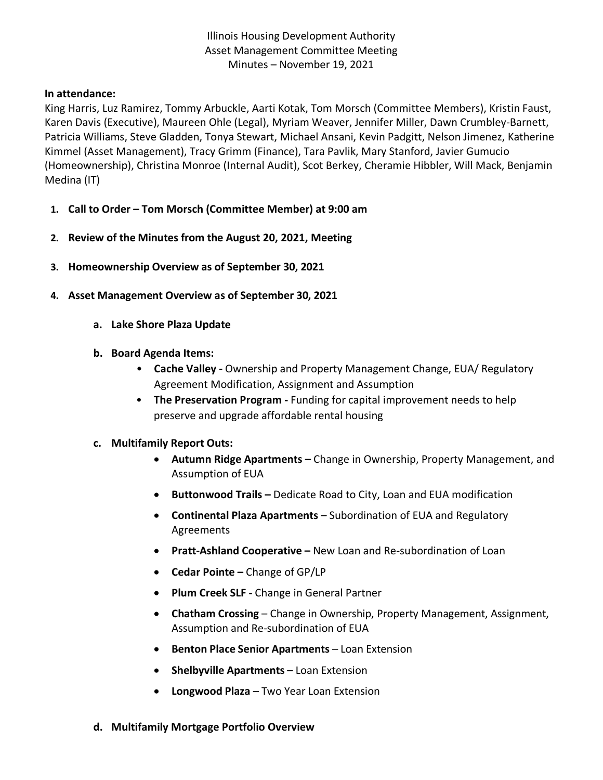Illinois Housing Development Authority Asset Management Committee Meeting Minutes – November 19, 2021

## **In attendance:**

King Harris, Luz Ramirez, Tommy Arbuckle, Aarti Kotak, Tom Morsch (Committee Members), Kristin Faust, Karen Davis (Executive), Maureen Ohle (Legal), Myriam Weaver, Jennifer Miller, Dawn Crumbley-Barnett, Patricia Williams, Steve Gladden, Tonya Stewart, Michael Ansani, Kevin Padgitt, Nelson Jimenez, Katherine Kimmel (Asset Management), Tracy Grimm (Finance), Tara Pavlik, Mary Stanford, Javier Gumucio (Homeownership), Christina Monroe (Internal Audit), Scot Berkey, Cheramie Hibbler, Will Mack, Benjamin Medina (IT)

- **1. Call to Order – Tom Morsch (Committee Member) at 9:00 am**
- **2. Review of the Minutes from the August 20, 2021, Meeting**
- **3. Homeownership Overview as of September 30, 2021**
- **4. Asset Management Overview as of September 30, 2021**
	- **a. Lake Shore Plaza Update**
	- **b. Board Agenda Items:** 
		- **Cache Valley -** Ownership and Property Management Change, EUA/ Regulatory Agreement Modification, Assignment and Assumption
		- **The Preservation Program -** Funding for capital improvement needs to help preserve and upgrade affordable rental housing
	- **c. Multifamily Report Outs:**
		- **Autumn Ridge Apartments –** Change in Ownership, Property Management, and Assumption of EUA
		- **Buttonwood Trails –** Dedicate Road to City, Loan and EUA modification
		- **Continental Plaza Apartments**  Subordination of EUA and Regulatory Agreements
		- **Pratt-Ashland Cooperative –** New Loan and Re-subordination of Loan
		- **Cedar Pointe –** Change of GP/LP
		- **Plum Creek SLF -** Change in General Partner
		- **Chatham Crossing**  Change in Ownership, Property Management, Assignment, Assumption and Re-subordination of EUA
		- **Benton Place Senior Apartments**  Loan Extension
		- **Shelbyville Apartments**  Loan Extension
		- **Longwood Plaza**  Two Year Loan Extension
	- **d. Multifamily Mortgage Portfolio Overview**